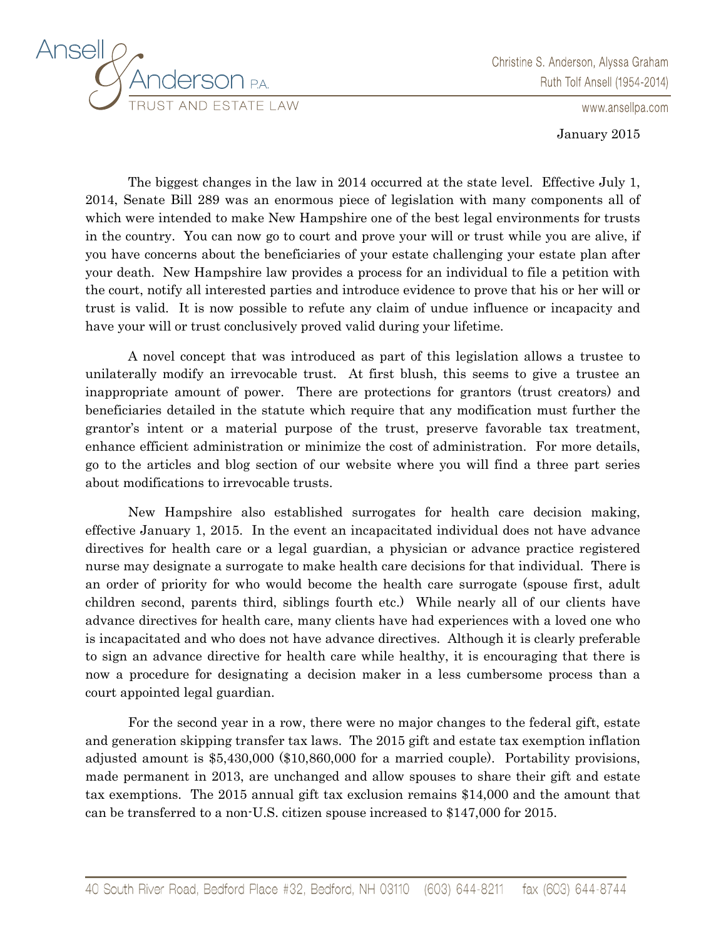

Christine S. Anderson, Alyssa Graham Ruth Tolf Ansell (1954-2014)

www.ansellpa.com

January 2015

The biggest changes in the law in 2014 occurred at the state level. Effective July 1, 2014, Senate Bill 289 was an enormous piece of legislation with many components all of which were intended to make New Hampshire one of the best legal environments for trusts in the country. You can now go to court and prove your will or trust while you are alive, if you have concerns about the beneficiaries of your estate challenging your estate plan after your death. New Hampshire law provides a process for an individual to file a petition with the court, notify all interested parties and introduce evidence to prove that his or her will or trust is valid. It is now possible to refute any claim of undue influence or incapacity and have your will or trust conclusively proved valid during your lifetime.

A novel concept that was introduced as part of this legislation allows a trustee to unilaterally modify an irrevocable trust. At first blush, this seems to give a trustee an inappropriate amount of power. There are protections for grantors (trust creators) and beneficiaries detailed in the statute which require that any modification must further the grantor's intent or a material purpose of the trust, preserve favorable tax treatment, enhance efficient administration or minimize the cost of administration. For more details, go to the articles and blog section of our website where you will find a three part series about modifications to irrevocable trusts.

New Hampshire also established surrogates for health care decision making, effective January 1, 2015. In the event an incapacitated individual does not have advance directives for health care or a legal guardian, a physician or advance practice registered nurse may designate a surrogate to make health care decisions for that individual. There is an order of priority for who would become the health care surrogate (spouse first, adult children second, parents third, siblings fourth etc.) While nearly all of our clients have advance directives for health care, many clients have had experiences with a loved one who is incapacitated and who does not have advance directives. Although it is clearly preferable to sign an advance directive for health care while healthy, it is encouraging that there is now a procedure for designating a decision maker in a less cumbersome process than a court appointed legal guardian.

For the second year in a row, there were no major changes to the federal gift, estate and generation skipping transfer tax laws. The 2015 gift and estate tax exemption inflation adjusted amount is \$5,430,000 (\$10,860,000 for a married couple). Portability provisions, made permanent in 2013, are unchanged and allow spouses to share their gift and estate tax exemptions. The 2015 annual gift tax exclusion remains \$14,000 and the amount that can be transferred to a non-U.S. citizen spouse increased to \$147,000 for 2015.